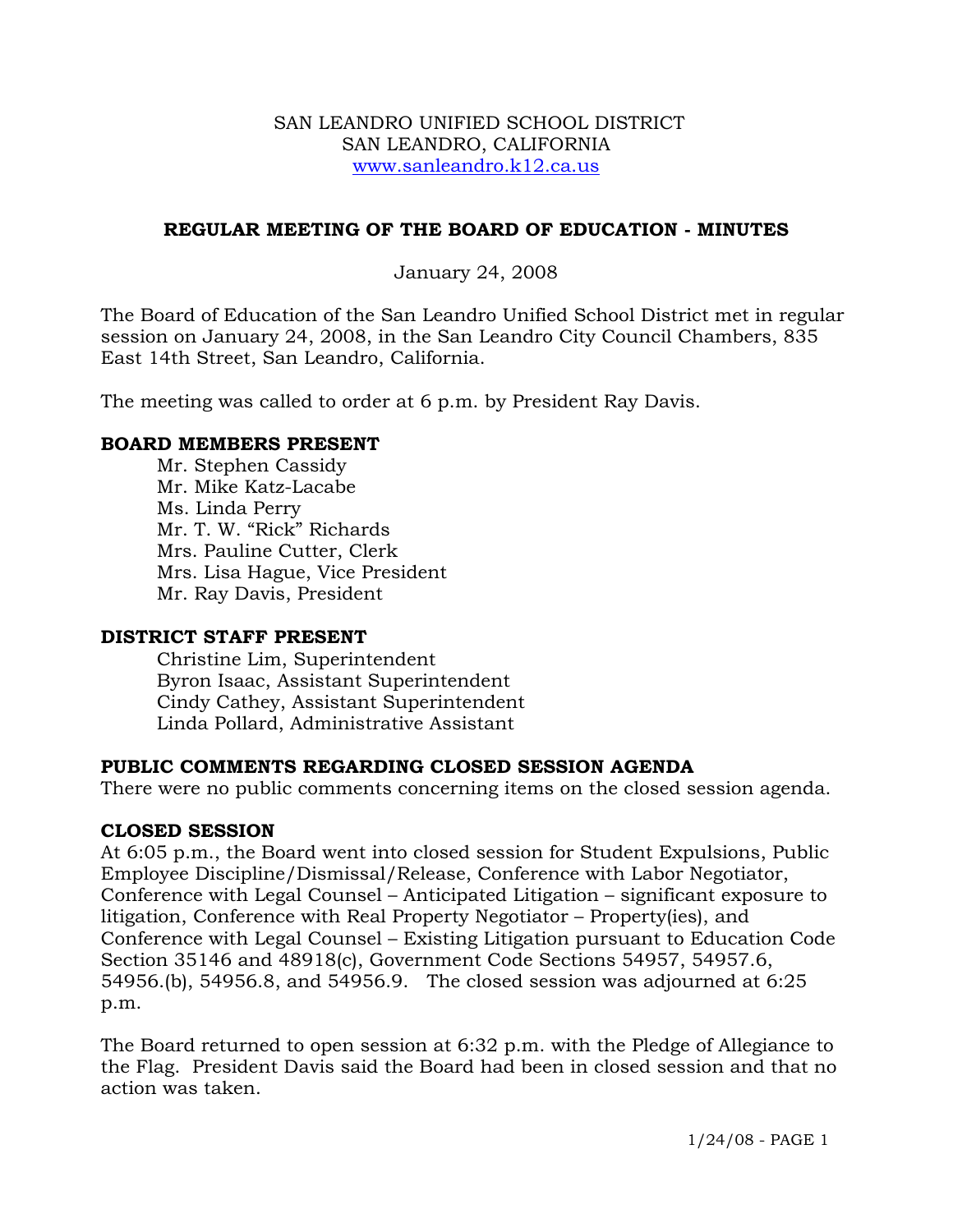#### SAN LEANDRO UNIFIED SCHOOL DISTRICT SAN LEANDRO, CALIFORNIA www.sanleandro.k12.ca.us

## **REGULAR MEETING OF THE BOARD OF EDUCATION - MINUTES**

## January 24, 2008

The Board of Education of the San Leandro Unified School District met in regular session on January 24, 2008, in the San Leandro City Council Chambers, 835 East 14th Street, San Leandro, California.

The meeting was called to order at 6 p.m. by President Ray Davis.

### **BOARD MEMBERS PRESENT**

Mr. Stephen Cassidy Mr. Mike Katz-Lacabe Ms. Linda Perry Mr. T. W. "Rick" Richards Mrs. Pauline Cutter, Clerk Mrs. Lisa Hague, Vice President Mr. Ray Davis, President

## **DISTRICT STAFF PRESENT**

Christine Lim, Superintendent Byron Isaac, Assistant Superintendent Cindy Cathey, Assistant Superintendent Linda Pollard, Administrative Assistant

## **PUBLIC COMMENTS REGARDING CLOSED SESSION AGENDA**

There were no public comments concerning items on the closed session agenda.

## **CLOSED SESSION**

At 6:05 p.m., the Board went into closed session for Student Expulsions, Public Employee Discipline/Dismissal/Release, Conference with Labor Negotiator, Conference with Legal Counsel – Anticipated Litigation – significant exposure to litigation, Conference with Real Property Negotiator – Property(ies), and Conference with Legal Counsel – Existing Litigation pursuant to Education Code Section 35146 and 48918(c), Government Code Sections 54957, 54957.6, 54956.(b), 54956.8, and 54956.9. The closed session was adjourned at 6:25 p.m.

The Board returned to open session at 6:32 p.m. with the Pledge of Allegiance to the Flag. President Davis said the Board had been in closed session and that no action was taken.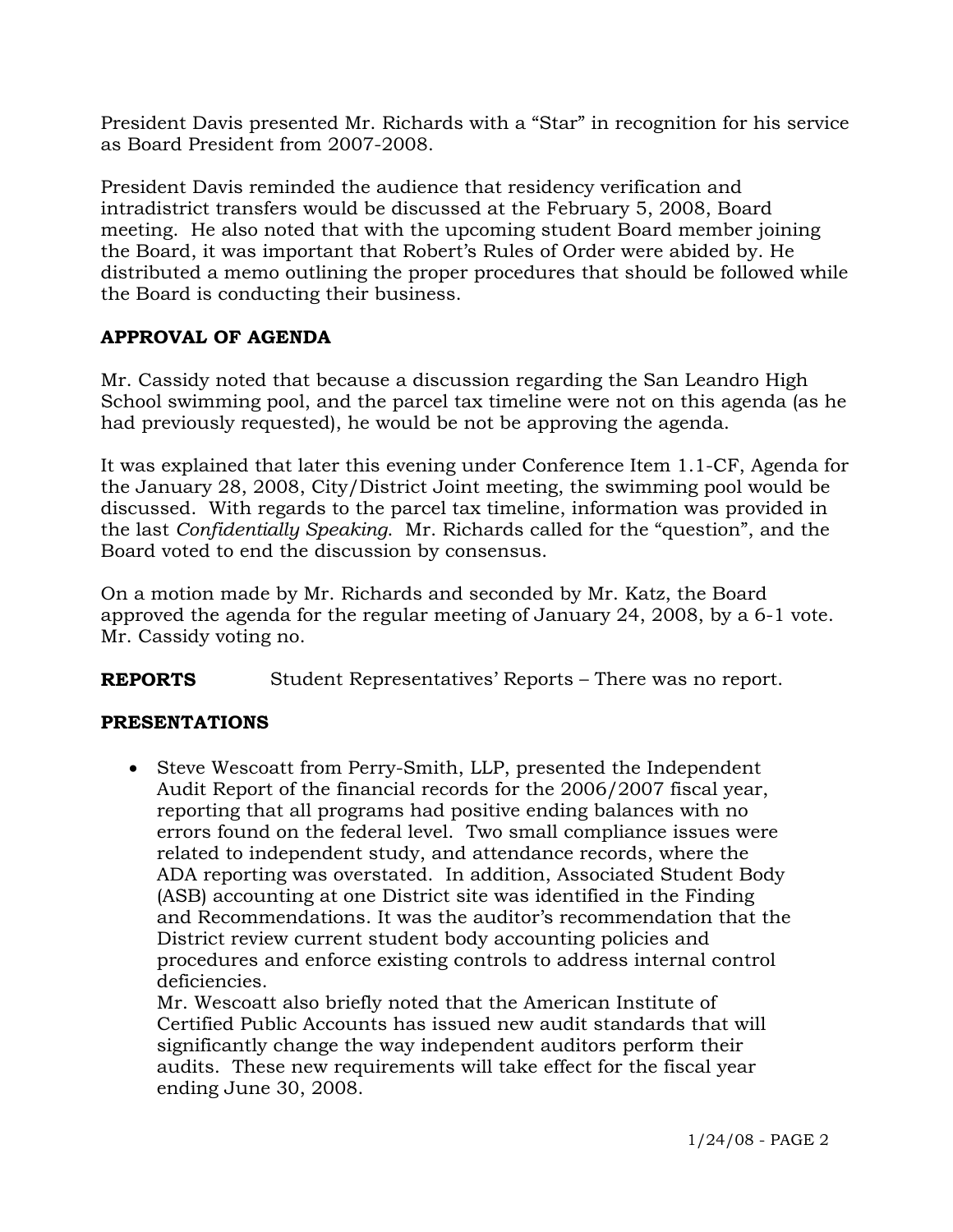President Davis presented Mr. Richards with a "Star" in recognition for his service as Board President from 2007-2008.

President Davis reminded the audience that residency verification and intradistrict transfers would be discussed at the February 5, 2008, Board meeting. He also noted that with the upcoming student Board member joining the Board, it was important that Robert's Rules of Order were abided by. He distributed a memo outlining the proper procedures that should be followed while the Board is conducting their business.

# **APPROVAL OF AGENDA**

Mr. Cassidy noted that because a discussion regarding the San Leandro High School swimming pool, and the parcel tax timeline were not on this agenda (as he had previously requested), he would be not be approving the agenda.

It was explained that later this evening under Conference Item 1.1-CF, Agenda for the January 28, 2008, City/District Joint meeting, the swimming pool would be discussed. With regards to the parcel tax timeline, information was provided in the last *Confidentially Speaking*. Mr. Richards called for the "question", and the Board voted to end the discussion by consensus.

On a motion made by Mr. Richards and seconded by Mr. Katz, the Board approved the agenda for the regular meeting of January 24, 2008, by a 6-1 vote. Mr. Cassidy voting no.

**REPORTS** Student Representatives' Reports – There was no report.

## **PRESENTATIONS**

• Steve Wescoatt from Perry-Smith, LLP, presented the Independent Audit Report of the financial records for the 2006/2007 fiscal year, reporting that all programs had positive ending balances with no errors found on the federal level. Two small compliance issues were related to independent study, and attendance records, where the ADA reporting was overstated. In addition, Associated Student Body (ASB) accounting at one District site was identified in the Finding and Recommendations. It was the auditor's recommendation that the District review current student body accounting policies and procedures and enforce existing controls to address internal control deficiencies.

 Mr. Wescoatt also briefly noted that the American Institute of Certified Public Accounts has issued new audit standards that will significantly change the way independent auditors perform their audits. These new requirements will take effect for the fiscal year ending June 30, 2008.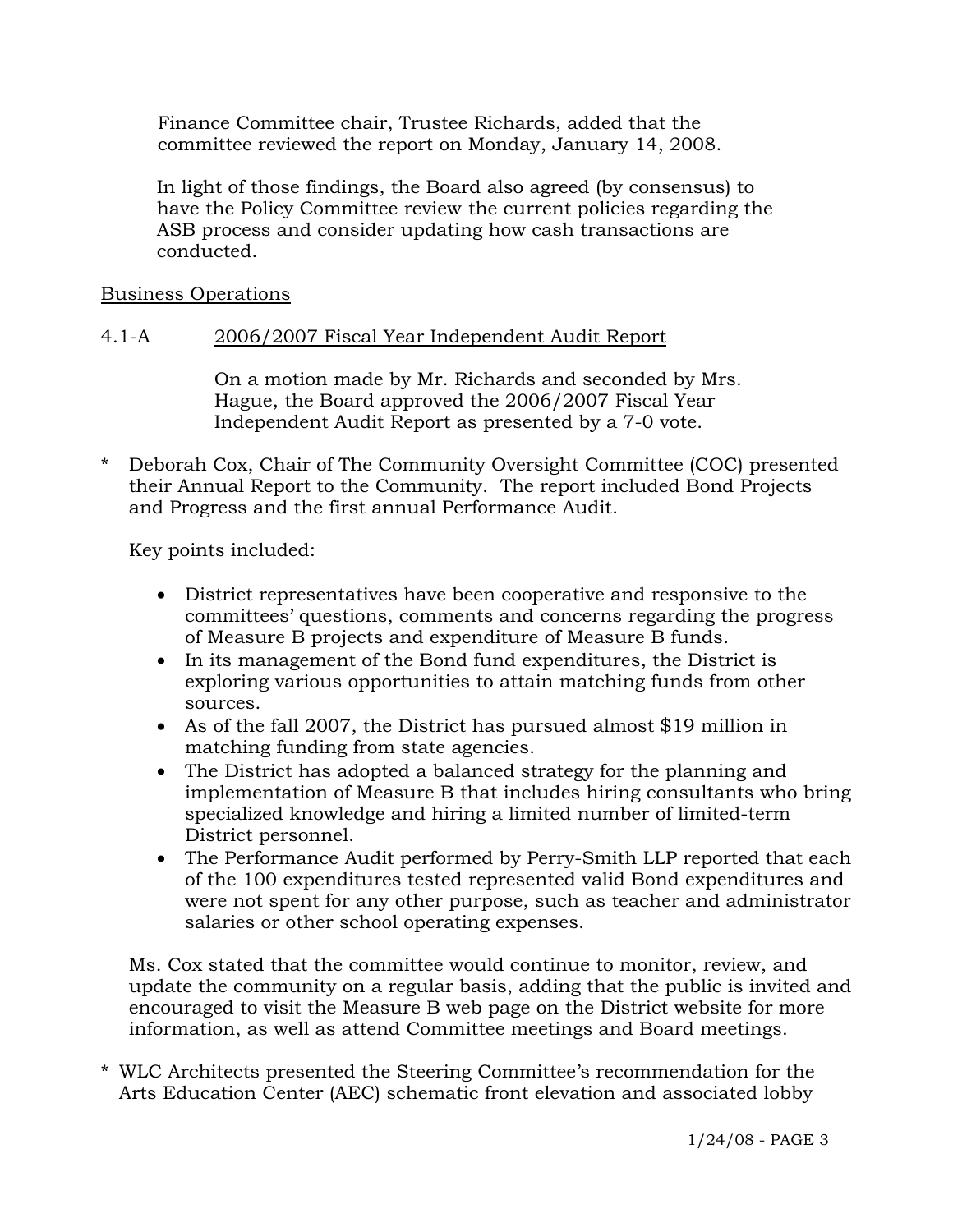Finance Committee chair, Trustee Richards, added that the committee reviewed the report on Monday, January 14, 2008.

 In light of those findings, the Board also agreed (by consensus) to have the Policy Committee review the current policies regarding the ASB process and consider updating how cash transactions are conducted.

### Business Operations

### 4.1-A 2006/2007 Fiscal Year Independent Audit Report

On a motion made by Mr. Richards and seconded by Mrs. Hague, the Board approved the 2006/2007 Fiscal Year Independent Audit Report as presented by a 7-0 vote.

\* Deborah Cox, Chair of The Community Oversight Committee (COC) presented their Annual Report to the Community. The report included Bond Projects and Progress and the first annual Performance Audit.

Key points included:

- District representatives have been cooperative and responsive to the committees' questions, comments and concerns regarding the progress of Measure B projects and expenditure of Measure B funds.
- In its management of the Bond fund expenditures, the District is exploring various opportunities to attain matching funds from other sources.
- As of the fall 2007, the District has pursued almost \$19 million in matching funding from state agencies.
- The District has adopted a balanced strategy for the planning and implementation of Measure B that includes hiring consultants who bring specialized knowledge and hiring a limited number of limited-term District personnel.
- The Performance Audit performed by Perry-Smith LLP reported that each of the 100 expenditures tested represented valid Bond expenditures and were not spent for any other purpose, such as teacher and administrator salaries or other school operating expenses.

 Ms. Cox stated that the committee would continue to monitor, review, and update the community on a regular basis, adding that the public is invited and encouraged to visit the Measure B web page on the District website for more information, as well as attend Committee meetings and Board meetings.

\* WLC Architects presented the Steering Committee's recommendation for the Arts Education Center (AEC) schematic front elevation and associated lobby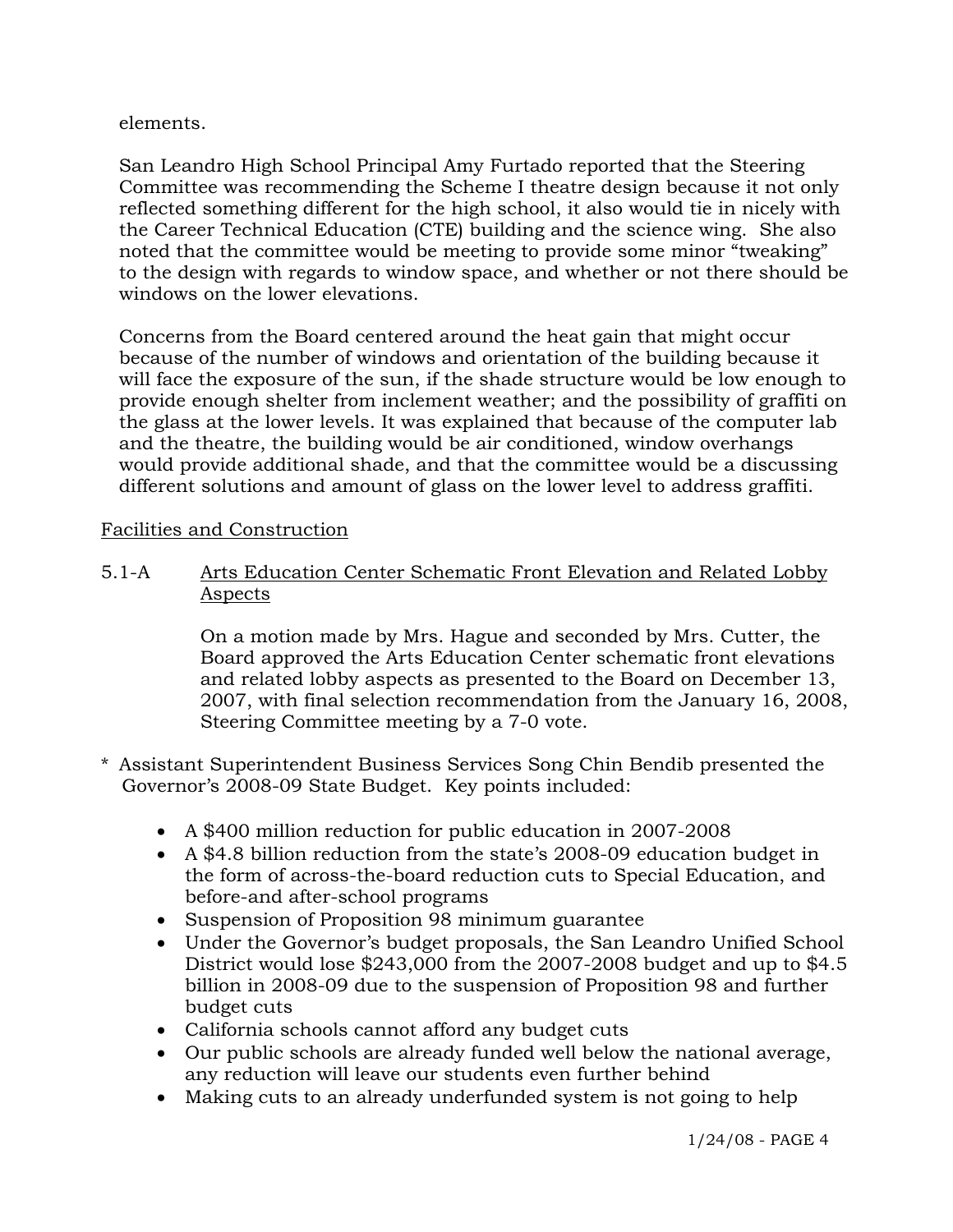elements.

 San Leandro High School Principal Amy Furtado reported that the Steering Committee was recommending the Scheme I theatre design because it not only reflected something different for the high school, it also would tie in nicely with the Career Technical Education (CTE) building and the science wing. She also noted that the committee would be meeting to provide some minor "tweaking" to the design with regards to window space, and whether or not there should be windows on the lower elevations.

 Concerns from the Board centered around the heat gain that might occur because of the number of windows and orientation of the building because it will face the exposure of the sun, if the shade structure would be low enough to provide enough shelter from inclement weather; and the possibility of graffiti on the glass at the lower levels. It was explained that because of the computer lab and the theatre, the building would be air conditioned, window overhangs would provide additional shade, and that the committee would be a discussing different solutions and amount of glass on the lower level to address graffiti.

# Facilities and Construction

## 5.1-A Arts Education Center Schematic Front Elevation and Related Lobby Aspects

On a motion made by Mrs. Hague and seconded by Mrs. Cutter, the Board approved the Arts Education Center schematic front elevations and related lobby aspects as presented to the Board on December 13, 2007, with final selection recommendation from the January 16, 2008, Steering Committee meeting by a 7-0 vote.

- \* Assistant Superintendent Business Services Song Chin Bendib presented the Governor's 2008-09 State Budget. Key points included:
	- A \$400 million reduction for public education in 2007-2008
	- A \$4.8 billion reduction from the state's 2008-09 education budget in the form of across-the-board reduction cuts to Special Education, and before-and after-school programs
	- Suspension of Proposition 98 minimum guarantee
	- Under the Governor's budget proposals, the San Leandro Unified School District would lose \$243,000 from the 2007-2008 budget and up to \$4.5 billion in 2008-09 due to the suspension of Proposition 98 and further budget cuts
	- California schools cannot afford any budget cuts
	- Our public schools are already funded well below the national average, any reduction will leave our students even further behind
	- Making cuts to an already underfunded system is not going to help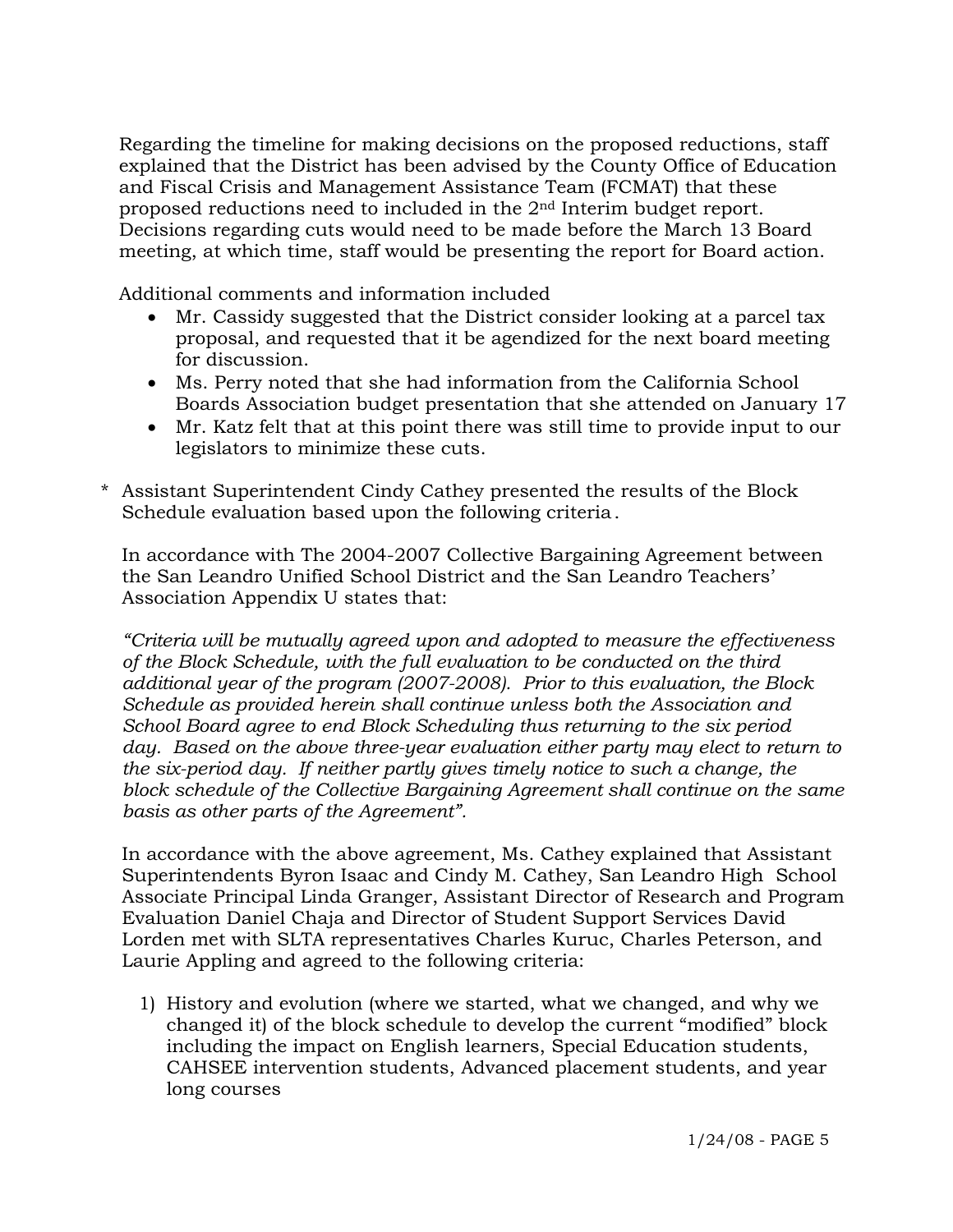Regarding the timeline for making decisions on the proposed reductions, staff explained that the District has been advised by the County Office of Education and Fiscal Crisis and Management Assistance Team (FCMAT) that these proposed reductions need to included in the 2nd Interim budget report. Decisions regarding cuts would need to be made before the March 13 Board meeting, at which time, staff would be presenting the report for Board action.

Additional comments and information included

- Mr. Cassidy suggested that the District consider looking at a parcel tax proposal, and requested that it be agendized for the next board meeting for discussion.
- Ms. Perry noted that she had information from the California School Boards Association budget presentation that she attended on January 17
- Mr. Katz felt that at this point there was still time to provide input to our legislators to minimize these cuts.
- Assistant Superintendent Cindy Cathey presented the results of the Block Schedule evaluation based upon the following criteria.

 In accordance with The 2004-2007 Collective Bargaining Agreement between the San Leandro Unified School District and the San Leandro Teachers' Association Appendix U states that:

*"Criteria will be mutually agreed upon and adopted to measure the effectiveness of the Block Schedule, with the full evaluation to be conducted on the third additional year of the program (2007-2008). Prior to this evaluation, the Block Schedule as provided herein shall continue unless both the Association and School Board agree to end Block Scheduling thus returning to the six period*  day. Based on the above three-year evaluation either party may elect to return to  *the six-period day. If neither partly gives timely notice to such a change, the block schedule of the Collective Bargaining Agreement shall continue on the same basis as other parts of the Agreement".*

 In accordance with the above agreement, Ms. Cathey explained that Assistant Superintendents Byron Isaac and Cindy M. Cathey, San Leandro High School Associate Principal Linda Granger, Assistant Director of Research and Program Evaluation Daniel Chaja and Director of Student Support Services David Lorden met with SLTA representatives Charles Kuruc, Charles Peterson, and Laurie Appling and agreed to the following criteria:

1) History and evolution (where we started, what we changed, and why we changed it) of the block schedule to develop the current "modified" block including the impact on English learners, Special Education students, CAHSEE intervention students, Advanced placement students, and year long courses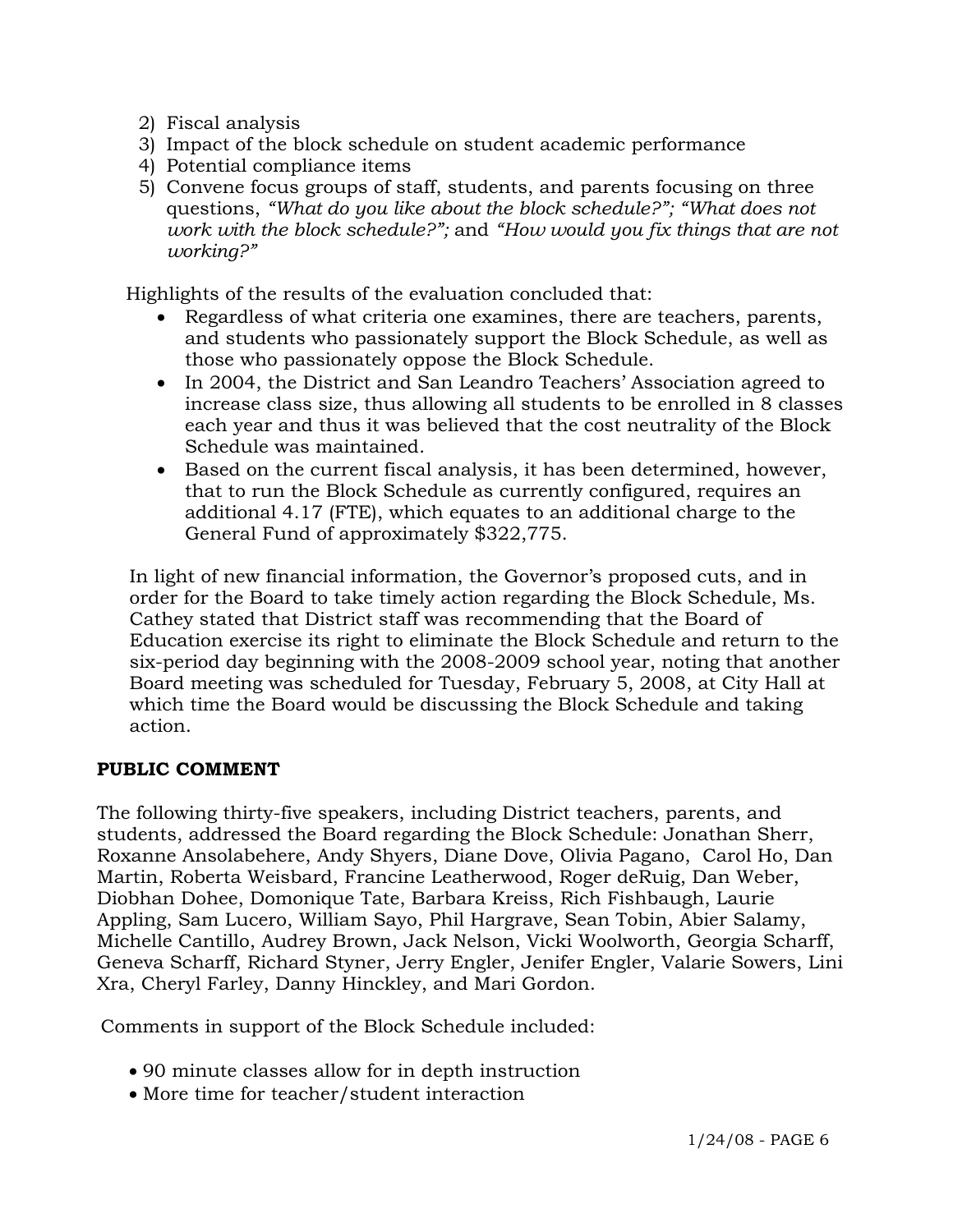- 2) Fiscal analysis
- 3) Impact of the block schedule on student academic performance
- 4) Potential compliance items
- 5) Convene focus groups of staff, students, and parents focusing on three questions, *"What do you like about the block schedule?"; "What does not work with the block schedule?";* and *"How would you fix things that are not working?"*

Highlights of the results of the evaluation concluded that:

- Regardless of what criteria one examines, there are teachers, parents, and students who passionately support the Block Schedule, as well as those who passionately oppose the Block Schedule.
- In 2004, the District and San Leandro Teachers' Association agreed to increase class size, thus allowing all students to be enrolled in 8 classes each year and thus it was believed that the cost neutrality of the Block Schedule was maintained.
- Based on the current fiscal analysis, it has been determined, however, that to run the Block Schedule as currently configured, requires an additional 4.17 (FTE), which equates to an additional charge to the General Fund of approximately \$322,775.

 In light of new financial information, the Governor's proposed cuts, and in order for the Board to take timely action regarding the Block Schedule, Ms. Cathey stated that District staff was recommending that the Board of Education exercise its right to eliminate the Block Schedule and return to the six-period day beginning with the 2008-2009 school year, noting that another Board meeting was scheduled for Tuesday, February 5, 2008, at City Hall at which time the Board would be discussing the Block Schedule and taking action.

## **PUBLIC COMMENT**

The following thirty-five speakers, including District teachers, parents, and students, addressed the Board regarding the Block Schedule: Jonathan Sherr, Roxanne Ansolabehere, Andy Shyers, Diane Dove, Olivia Pagano, Carol Ho, Dan Martin, Roberta Weisbard, Francine Leatherwood, Roger deRuig, Dan Weber, Diobhan Dohee, Domonique Tate, Barbara Kreiss, Rich Fishbaugh, Laurie Appling, Sam Lucero, William Sayo, Phil Hargrave, Sean Tobin, Abier Salamy, Michelle Cantillo, Audrey Brown, Jack Nelson, Vicki Woolworth, Georgia Scharff, Geneva Scharff, Richard Styner, Jerry Engler, Jenifer Engler, Valarie Sowers, Lini Xra, Cheryl Farley, Danny Hinckley, and Mari Gordon.

Comments in support of the Block Schedule included:

- 90 minute classes allow for in depth instruction
- More time for teacher/student interaction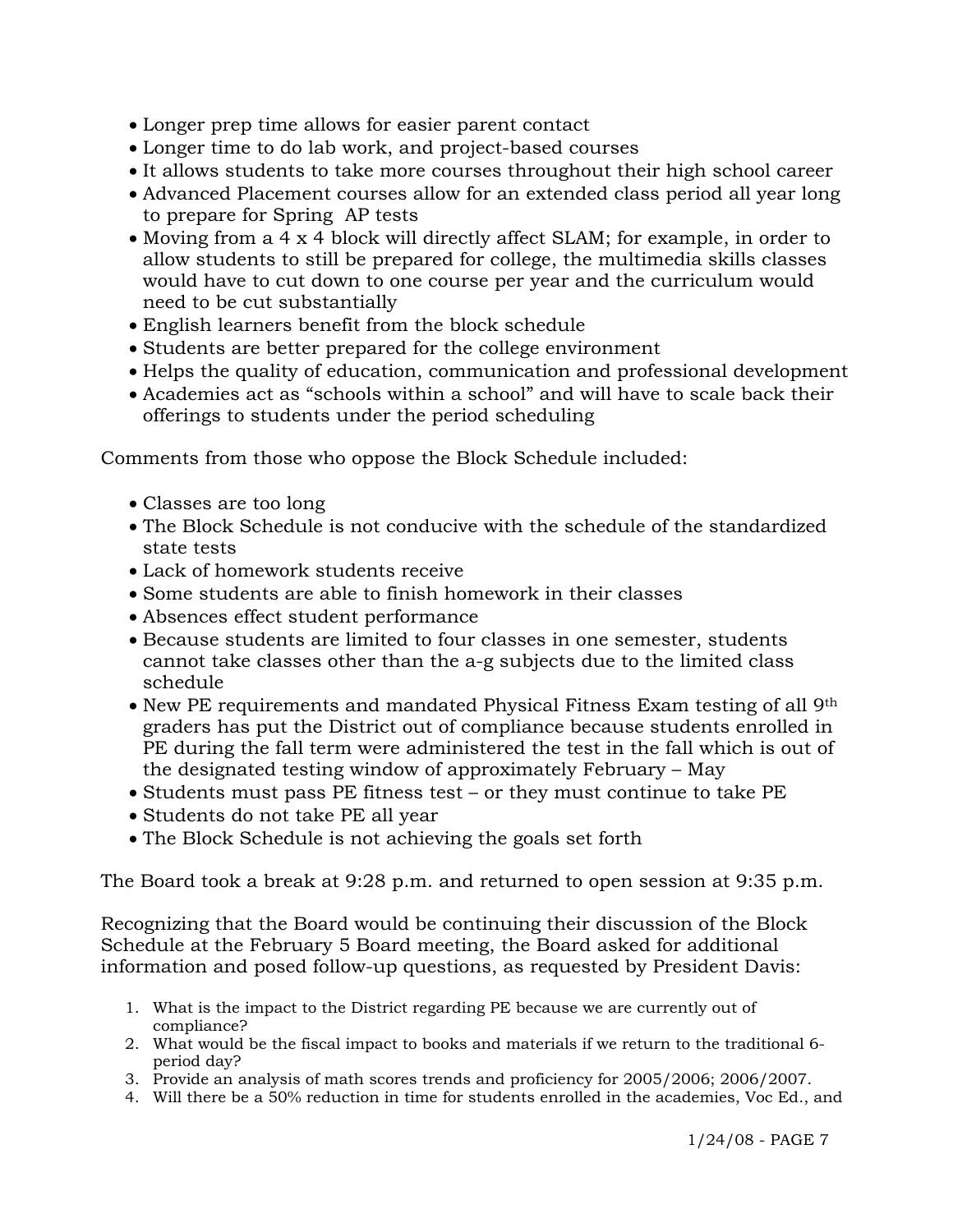- Longer prep time allows for easier parent contact
- Longer time to do lab work, and project-based courses
- It allows students to take more courses throughout their high school career
- Advanced Placement courses allow for an extended class period all year long to prepare for Spring AP tests
- Moving from a 4 x 4 block will directly affect SLAM; for example, in order to allow students to still be prepared for college, the multimedia skills classes would have to cut down to one course per year and the curriculum would need to be cut substantially
- English learners benefit from the block schedule
- Students are better prepared for the college environment
- Helps the quality of education, communication and professional development
- Academies act as "schools within a school" and will have to scale back their offerings to students under the period scheduling

Comments from those who oppose the Block Schedule included:

- Classes are too long
- The Block Schedule is not conducive with the schedule of the standardized state tests
- Lack of homework students receive
- Some students are able to finish homework in their classes
- Absences effect student performance
- Because students are limited to four classes in one semester, students cannot take classes other than the a-g subjects due to the limited class schedule
- New PE requirements and mandated Physical Fitness Exam testing of all 9<sup>th</sup> graders has put the District out of compliance because students enrolled in PE during the fall term were administered the test in the fall which is out of the designated testing window of approximately February – May
- Students must pass PE fitness test or they must continue to take PE
- Students do not take PE all year
- The Block Schedule is not achieving the goals set forth

The Board took a break at 9:28 p.m. and returned to open session at 9:35 p.m.

Recognizing that the Board would be continuing their discussion of the Block Schedule at the February 5 Board meeting, the Board asked for additional information and posed follow-up questions, as requested by President Davis:

- 1. What is the impact to the District regarding PE because we are currently out of compliance?
- 2. What would be the fiscal impact to books and materials if we return to the traditional 6 period day?
- 3. Provide an analysis of math scores trends and proficiency for 2005/2006; 2006/2007.
- 4. Will there be a 50% reduction in time for students enrolled in the academies, Voc Ed., and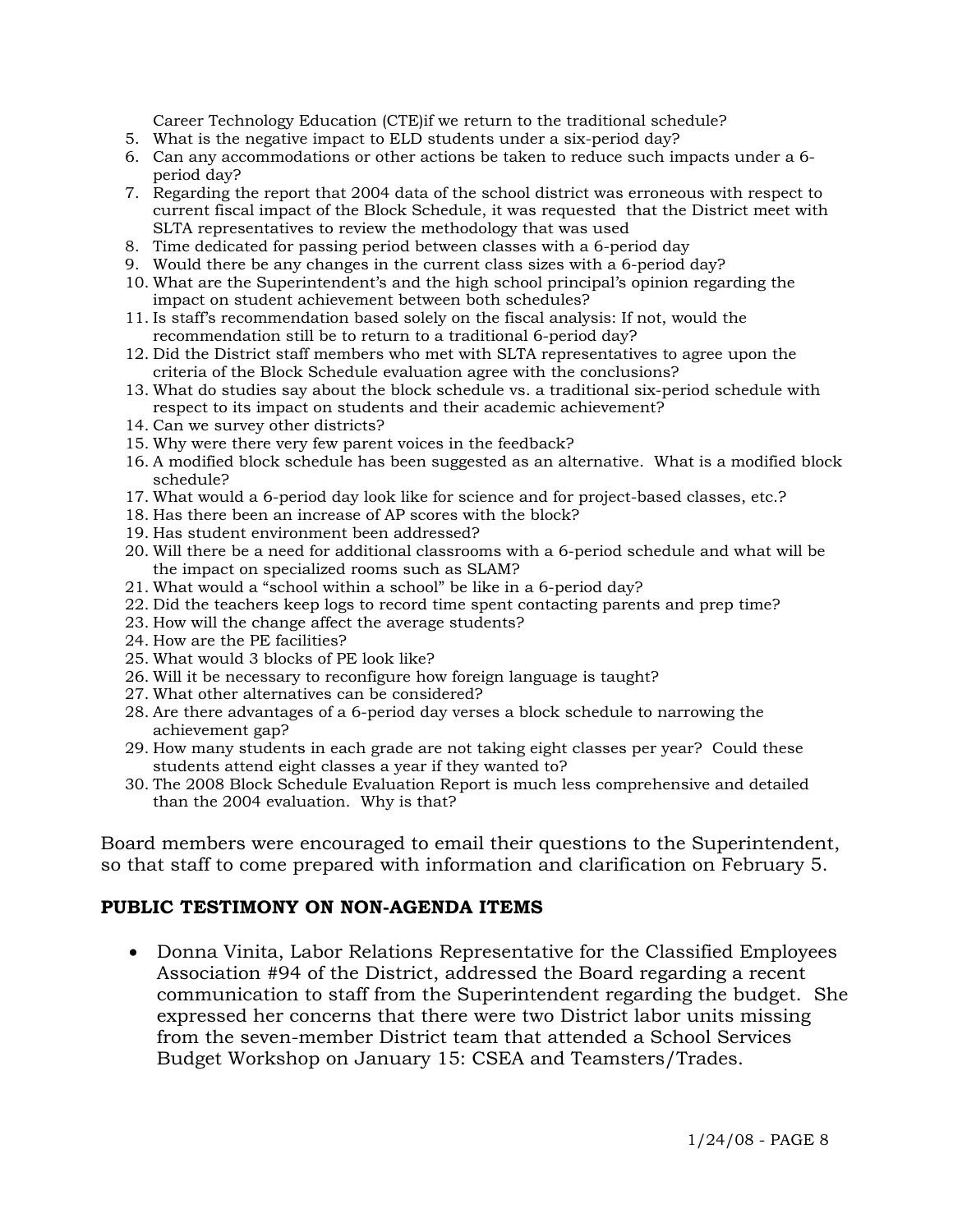Career Technology Education (CTE)if we return to the traditional schedule?

- 5. What is the negative impact to ELD students under a six-period day?
- 6. Can any accommodations or other actions be taken to reduce such impacts under a 6 period day?
- 7. Regarding the report that 2004 data of the school district was erroneous with respect to current fiscal impact of the Block Schedule, it was requested that the District meet with SLTA representatives to review the methodology that was used
- 8. Time dedicated for passing period between classes with a 6-period day
- 9. Would there be any changes in the current class sizes with a 6-period day?
- 10. What are the Superintendent's and the high school principal's opinion regarding the impact on student achievement between both schedules?
- 11. Is staff's recommendation based solely on the fiscal analysis: If not, would the recommendation still be to return to a traditional 6-period day?
- 12. Did the District staff members who met with SLTA representatives to agree upon the criteria of the Block Schedule evaluation agree with the conclusions?
- 13. What do studies say about the block schedule vs. a traditional six-period schedule with respect to its impact on students and their academic achievement?
- 14. Can we survey other districts?
- 15. Why were there very few parent voices in the feedback?
- 16. A modified block schedule has been suggested as an alternative. What is a modified block schedule?
- 17. What would a 6-period day look like for science and for project-based classes, etc.?
- 18. Has there been an increase of AP scores with the block?
- 19. Has student environment been addressed?
- 20. Will there be a need for additional classrooms with a 6-period schedule and what will be the impact on specialized rooms such as SLAM?
- 21. What would a "school within a school" be like in a 6-period day?
- 22. Did the teachers keep logs to record time spent contacting parents and prep time?
- 23. How will the change affect the average students?
- 24. How are the PE facilities?
- 25. What would 3 blocks of PE look like?
- 26. Will it be necessary to reconfigure how foreign language is taught?
- 27. What other alternatives can be considered?
- 28. Are there advantages of a 6-period day verses a block schedule to narrowing the achievement gap?
- 29. How many students in each grade are not taking eight classes per year? Could these students attend eight classes a year if they wanted to?
- 30. The 2008 Block Schedule Evaluation Report is much less comprehensive and detailed than the 2004 evaluation. Why is that?

Board members were encouraged to email their questions to the Superintendent, so that staff to come prepared with information and clarification on February 5.

## **PUBLIC TESTIMONY ON NON-AGENDA ITEMS**

• Donna Vinita, Labor Relations Representative for the Classified Employees Association #94 of the District, addressed the Board regarding a recent communication to staff from the Superintendent regarding the budget. She expressed her concerns that there were two District labor units missing from the seven-member District team that attended a School Services Budget Workshop on January 15: CSEA and Teamsters/Trades.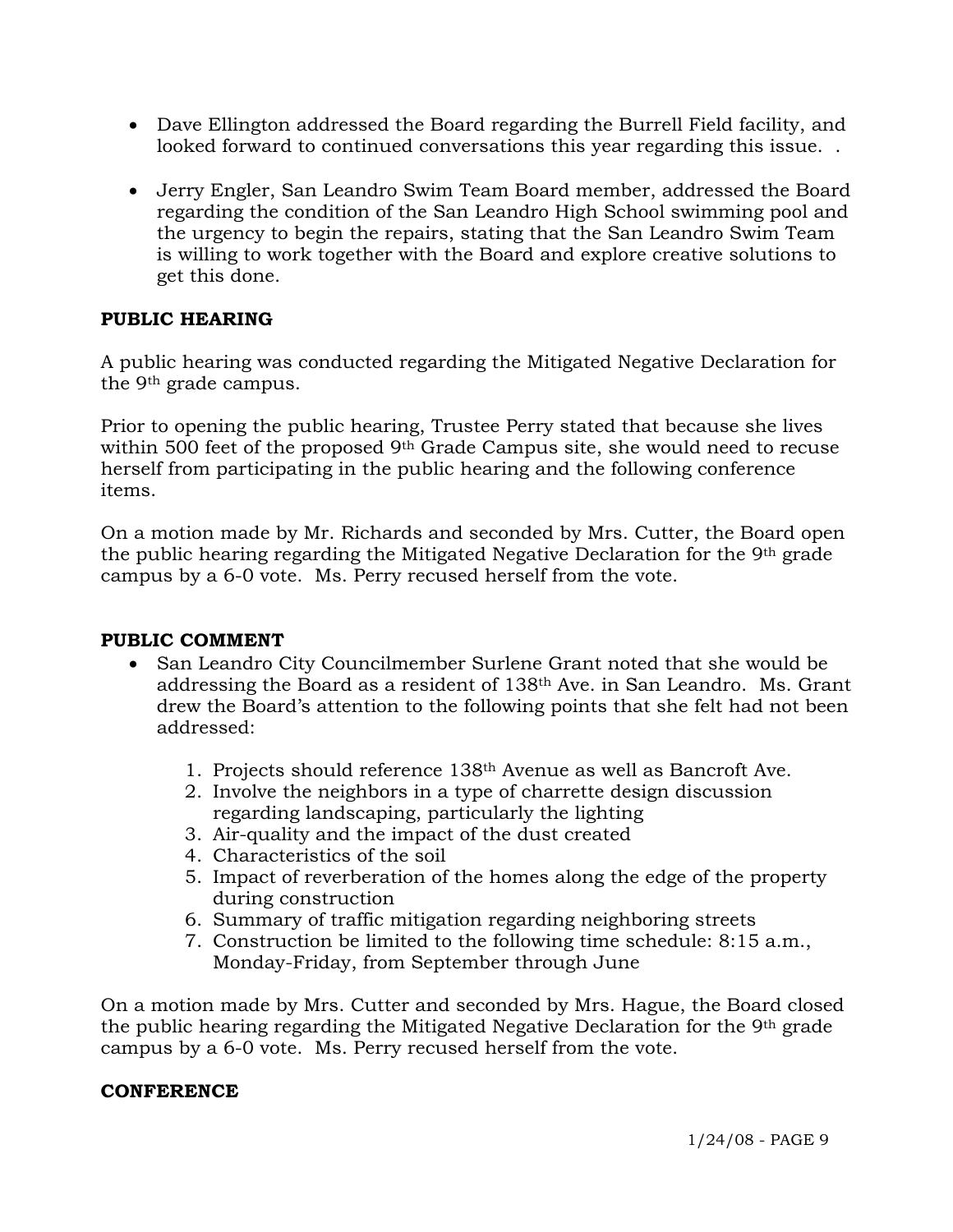- Dave Ellington addressed the Board regarding the Burrell Field facility, and looked forward to continued conversations this year regarding this issue. .
- Jerry Engler, San Leandro Swim Team Board member, addressed the Board regarding the condition of the San Leandro High School swimming pool and the urgency to begin the repairs, stating that the San Leandro Swim Team is willing to work together with the Board and explore creative solutions to get this done.

# **PUBLIC HEARING**

A public hearing was conducted regarding the Mitigated Negative Declaration for the 9th grade campus.

Prior to opening the public hearing, Trustee Perry stated that because she lives within 500 feet of the proposed 9<sup>th</sup> Grade Campus site, she would need to recuse herself from participating in the public hearing and the following conference items.

On a motion made by Mr. Richards and seconded by Mrs. Cutter, the Board open the public hearing regarding the Mitigated Negative Declaration for the 9th grade campus by a 6-0 vote. Ms. Perry recused herself from the vote.

## **PUBLIC COMMENT**

- San Leandro City Councilmember Surlene Grant noted that she would be addressing the Board as a resident of 138th Ave. in San Leandro. Ms. Grant drew the Board's attention to the following points that she felt had not been addressed:
	- 1. Projects should reference 138th Avenue as well as Bancroft Ave.
	- 2. Involve the neighbors in a type of charrette design discussion regarding landscaping, particularly the lighting
	- 3. Air-quality and the impact of the dust created
	- 4. Characteristics of the soil
	- 5. Impact of reverberation of the homes along the edge of the property during construction
	- 6. Summary of traffic mitigation regarding neighboring streets
	- 7. Construction be limited to the following time schedule: 8:15 a.m., Monday-Friday, from September through June

On a motion made by Mrs. Cutter and seconded by Mrs. Hague, the Board closed the public hearing regarding the Mitigated Negative Declaration for the 9th grade campus by a 6-0 vote. Ms. Perry recused herself from the vote.

## **CONFERENCE**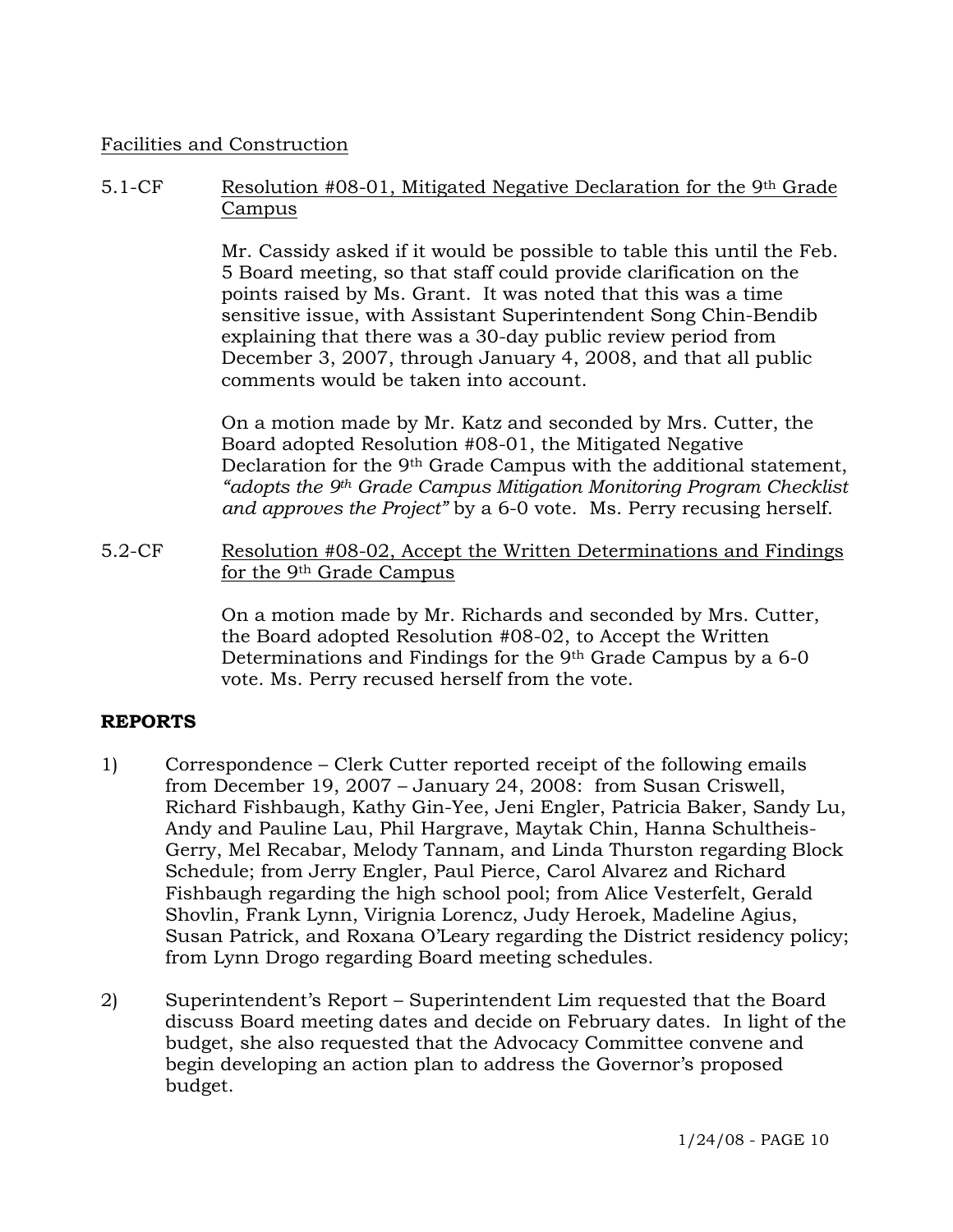## Facilities and Construction

## 5.1-CF Resolution #08-01, Mitigated Negative Declaration for the 9th Grade Campus

Mr. Cassidy asked if it would be possible to table this until the Feb. 5 Board meeting, so that staff could provide clarification on the points raised by Ms. Grant. It was noted that this was a time sensitive issue, with Assistant Superintendent Song Chin-Bendib explaining that there was a 30-day public review period from December 3, 2007, through January 4, 2008, and that all public comments would be taken into account.

On a motion made by Mr. Katz and seconded by Mrs. Cutter, the Board adopted Resolution #08-01, the Mitigated Negative Declaration for the 9th Grade Campus with the additional statement, *"adopts the 9th Grade Campus Mitigation Monitoring Program Checklist and approves the Project"* by a 6-0 vote. Ms. Perry recusing herself.

5.2-CF Resolution #08-02, Accept the Written Determinations and Findings for the 9th Grade Campus

> On a motion made by Mr. Richards and seconded by Mrs. Cutter, the Board adopted Resolution #08-02, to Accept the Written Determinations and Findings for the 9th Grade Campus by a 6-0 vote. Ms. Perry recused herself from the vote.

## **REPORTS**

- 1) Correspondence Clerk Cutter reported receipt of the following emails from December 19, 2007 – January 24, 2008: from Susan Criswell, Richard Fishbaugh, Kathy Gin-Yee, Jeni Engler, Patricia Baker, Sandy Lu, Andy and Pauline Lau, Phil Hargrave, Maytak Chin, Hanna Schultheis-Gerry, Mel Recabar, Melody Tannam, and Linda Thurston regarding Block Schedule; from Jerry Engler, Paul Pierce, Carol Alvarez and Richard Fishbaugh regarding the high school pool; from Alice Vesterfelt, Gerald Shovlin, Frank Lynn, Virignia Lorencz, Judy Heroek, Madeline Agius, Susan Patrick, and Roxana O'Leary regarding the District residency policy; from Lynn Drogo regarding Board meeting schedules.
- 2) Superintendent's Report Superintendent Lim requested that the Board discuss Board meeting dates and decide on February dates. In light of the budget, she also requested that the Advocacy Committee convene and begin developing an action plan to address the Governor's proposed budget.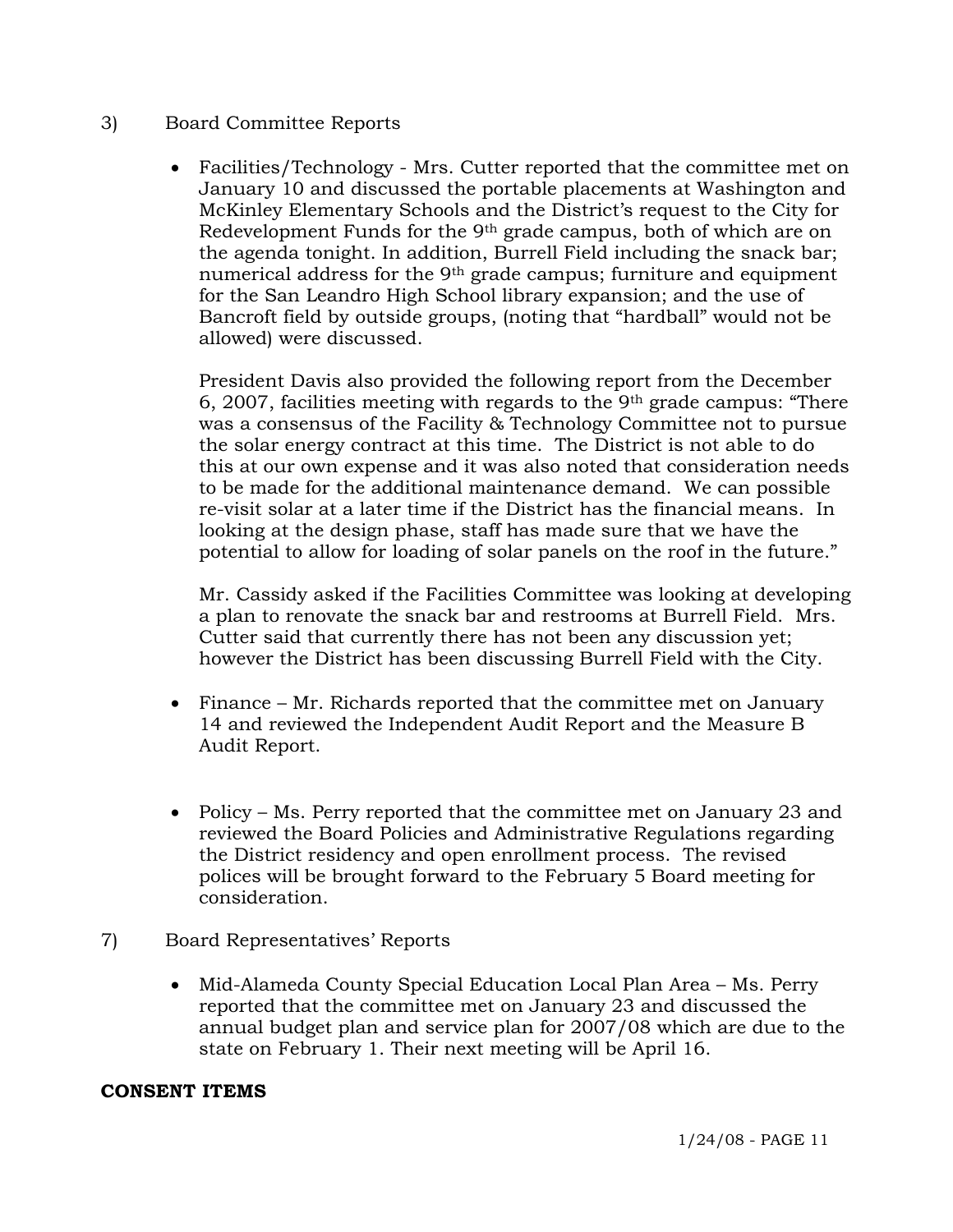## 3) Board Committee Reports

• Facilities/Technology - Mrs. Cutter reported that the committee met on January 10 and discussed the portable placements at Washington and McKinley Elementary Schools and the District's request to the City for Redevelopment Funds for the 9th grade campus, both of which are on the agenda tonight. In addition, Burrell Field including the snack bar; numerical address for the 9<sup>th</sup> grade campus; furniture and equipment for the San Leandro High School library expansion; and the use of Bancroft field by outside groups, (noting that "hardball" would not be allowed) were discussed.

President Davis also provided the following report from the December  $6, 2007$ , facilities meeting with regards to the 9<sup>th</sup> grade campus: "There was a consensus of the Facility & Technology Committee not to pursue the solar energy contract at this time. The District is not able to do this at our own expense and it was also noted that consideration needs to be made for the additional maintenance demand. We can possible re-visit solar at a later time if the District has the financial means. In looking at the design phase, staff has made sure that we have the potential to allow for loading of solar panels on the roof in the future."

Mr. Cassidy asked if the Facilities Committee was looking at developing a plan to renovate the snack bar and restrooms at Burrell Field. Mrs. Cutter said that currently there has not been any discussion yet; however the District has been discussing Burrell Field with the City.

- Finance Mr. Richards reported that the committee met on January 14 and reviewed the Independent Audit Report and the Measure B Audit Report.
- Policy Ms. Perry reported that the committee met on January 23 and reviewed the Board Policies and Administrative Regulations regarding the District residency and open enrollment process. The revised polices will be brought forward to the February 5 Board meeting for consideration.
- 7) Board Representatives' Reports
	- Mid-Alameda County Special Education Local Plan Area Ms. Perry reported that the committee met on January 23 and discussed the annual budget plan and service plan for 2007/08 which are due to the state on February 1. Their next meeting will be April 16.

## **CONSENT ITEMS**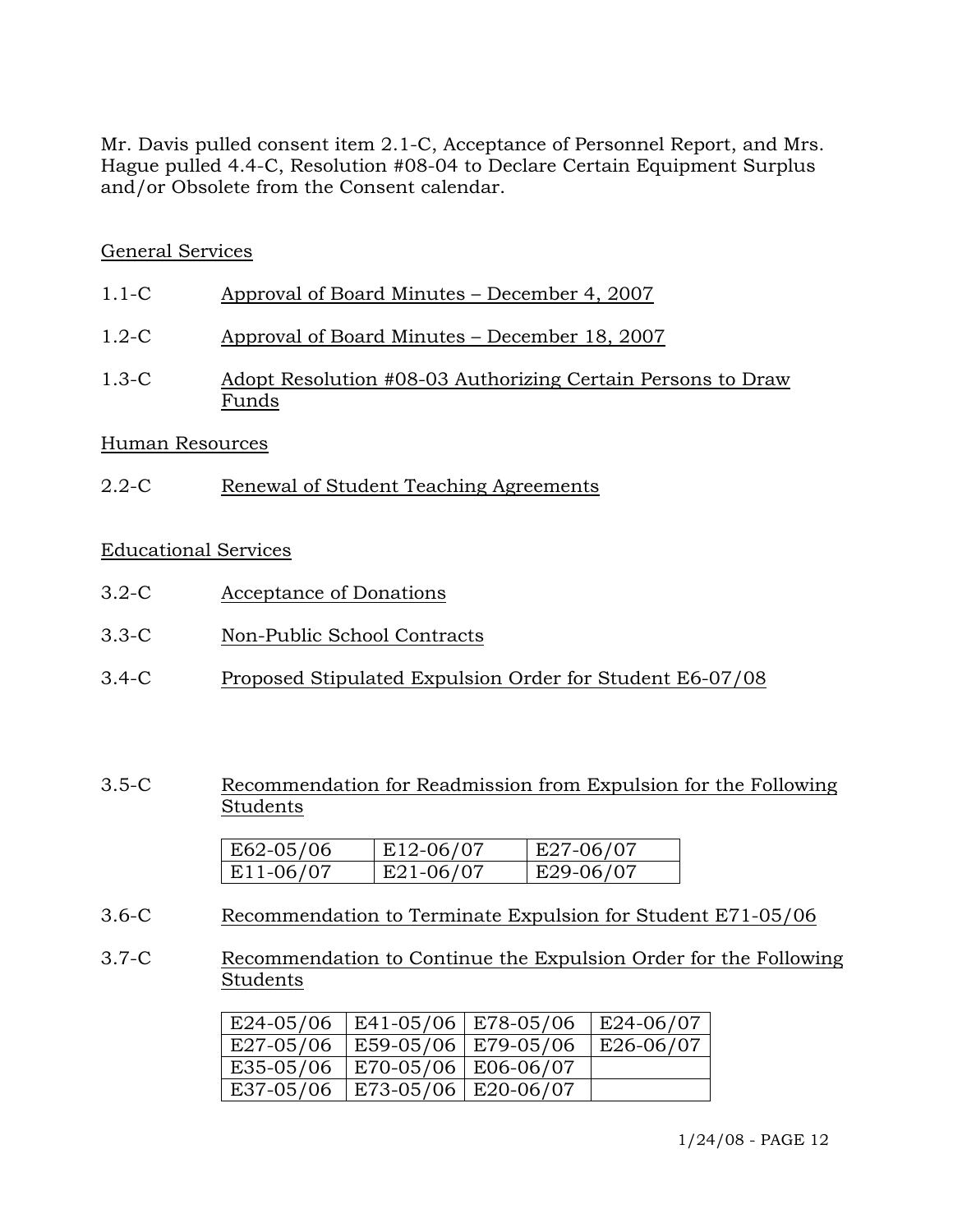Mr. Davis pulled consent item 2.1-C, Acceptance of Personnel Report, and Mrs. Hague pulled 4.4-C, Resolution #08-04 to Declare Certain Equipment Surplus and/or Obsolete from the Consent calendar.

# General Services

| $1.1-C$ | Approval of Board Minutes – December 4, 2007 |
|---------|----------------------------------------------|
|         |                                              |

- 1.2-C Approval of Board Minutes December 18, 2007
- 1.3-C Adopt Resolution #08-03 Authorizing Certain Persons to Draw Funds

### Human Resources

2.2-C Renewal of Student Teaching Agreements

## Educational Services

- 3.2-C Acceptance of Donations
- 3.3-C Non-Public School Contracts
- 3.4-C Proposed Stipulated Expulsion Order for Student E6-07/08
- 3.5-C Recommendation for Readmission from Expulsion for the Following Students

| $ E62-05/06 $ | E12-06/07 | E27-06/07 |
|---------------|-----------|-----------|
| $ E11-06/07$  | E21-06/07 | E29-06/07 |

- 3.6-C Recommendation to Terminate Expulsion for Student E71-05/06
- 3.7-C Recommendation to Continue the Expulsion Order for the Following Students

| E24-05/06 | E41-05/06   E78-05/06 | $ E24-06/07 $ |
|-----------|-----------------------|---------------|
| E27-05/06 | E59-05/06   E79-05/06 | E26-06/07     |
| E35-05/06 | E70-05/06   E06-06/07 |               |
| E37-05/06 | E73-05/06   E20-06/07 |               |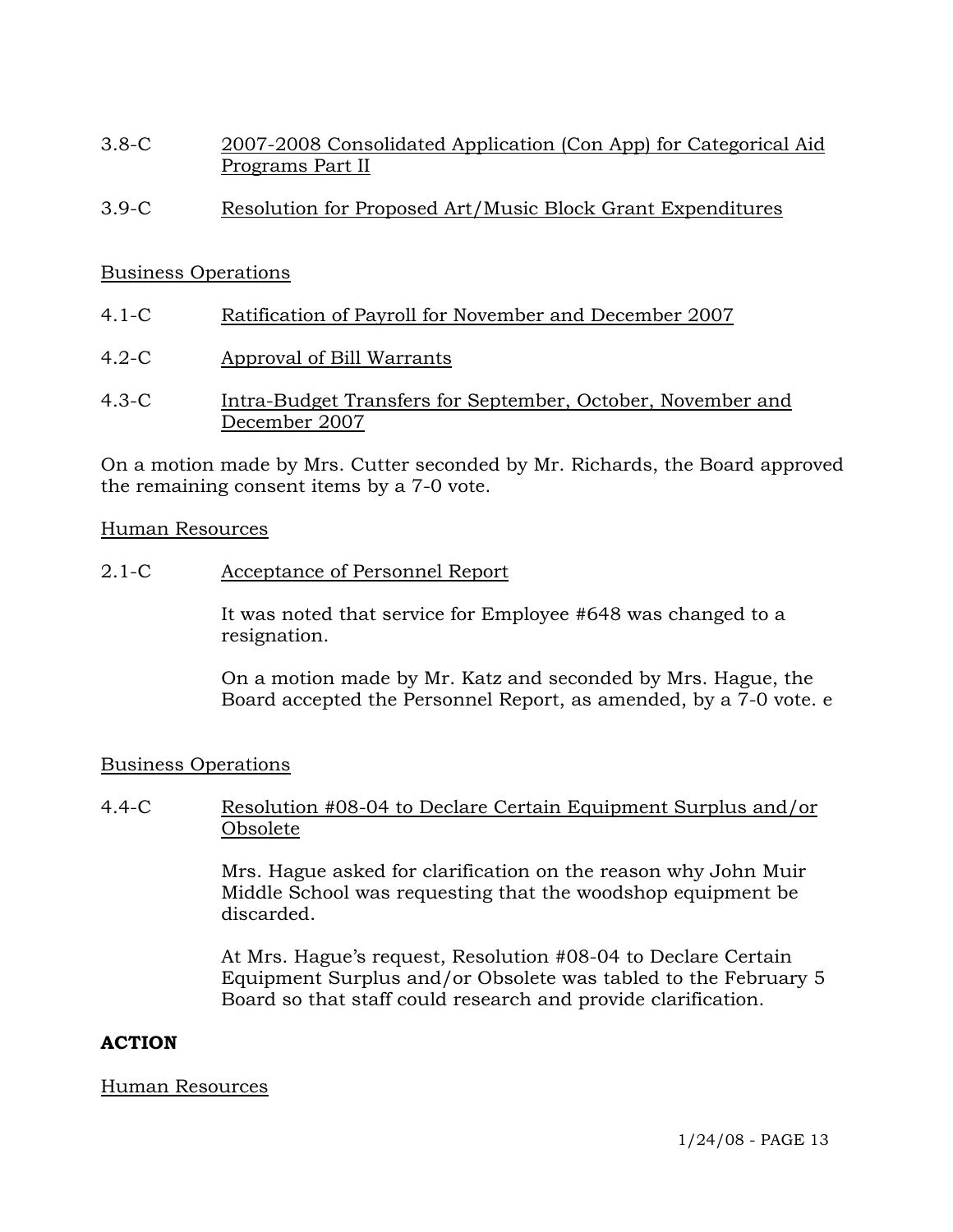- 3.8-C 2007-2008 Consolidated Application (Con App) for Categorical Aid Programs Part II
- 3.9-C Resolution for Proposed Art/Music Block Grant Expenditures

#### Business Operations

- 4.1-C Ratification of Payroll for November and December 2007
- 4.2-C Approval of Bill Warrants
- 4.3-C Intra-Budget Transfers for September, October, November and December 2007

On a motion made by Mrs. Cutter seconded by Mr. Richards, the Board approved the remaining consent items by a 7-0 vote.

#### Human Resources

2.1-C Acceptance of Personnel Report

It was noted that service for Employee #648 was changed to a resignation.

On a motion made by Mr. Katz and seconded by Mrs. Hague, the Board accepted the Personnel Report, as amended, by a 7-0 vote. e

#### Business Operations

4.4-C Resolution #08-04 to Declare Certain Equipment Surplus and/or Obsolete

> Mrs. Hague asked for clarification on the reason why John Muir Middle School was requesting that the woodshop equipment be discarded.

At Mrs. Hague's request, Resolution #08-04 to Declare Certain Equipment Surplus and/or Obsolete was tabled to the February 5 Board so that staff could research and provide clarification.

## **ACTION**

#### Human Resources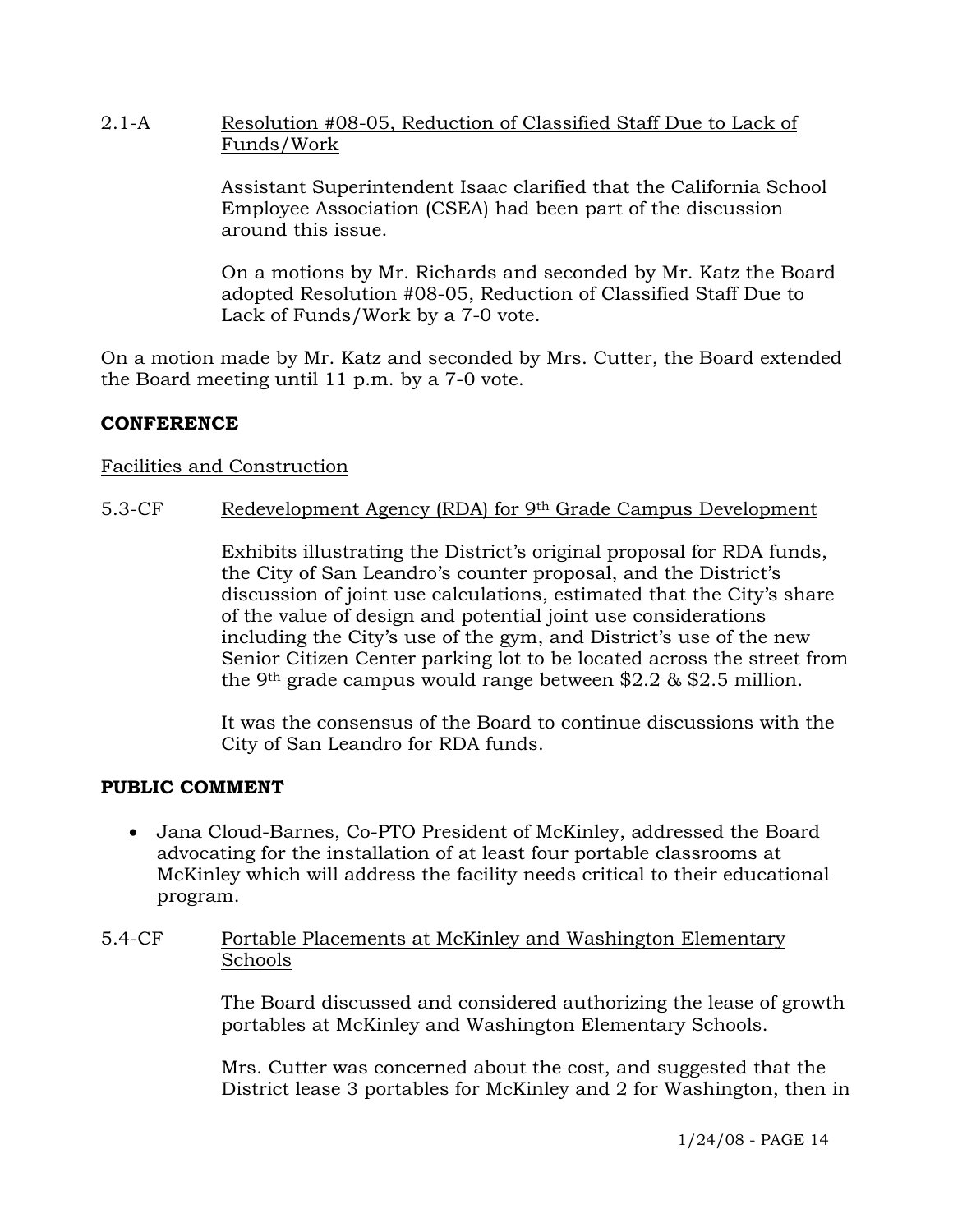## 2.1-A Resolution #08-05, Reduction of Classified Staff Due to Lack of Funds/Work

Assistant Superintendent Isaac clarified that the California School Employee Association (CSEA) had been part of the discussion around this issue.

On a motions by Mr. Richards and seconded by Mr. Katz the Board adopted Resolution #08-05, Reduction of Classified Staff Due to Lack of Funds/Work by a 7-0 vote.

On a motion made by Mr. Katz and seconded by Mrs. Cutter, the Board extended the Board meeting until 11 p.m. by a 7-0 vote.

# **CONFERENCE**

## Facilities and Construction

5.3-CF Redevelopment Agency (RDA) for 9<sup>th</sup> Grade Campus Development

Exhibits illustrating the District's original proposal for RDA funds, the City of San Leandro's counter proposal, and the District's discussion of joint use calculations, estimated that the City's share of the value of design and potential joint use considerations including the City's use of the gym, and District's use of the new Senior Citizen Center parking lot to be located across the street from the 9th grade campus would range between \$2.2 & \$2.5 million.

It was the consensus of the Board to continue discussions with the City of San Leandro for RDA funds.

#### **PUBLIC COMMENT**

• Jana Cloud-Barnes, Co-PTO President of McKinley, addressed the Board advocating for the installation of at least four portable classrooms at McKinley which will address the facility needs critical to their educational program.

### 5.4-CF Portable Placements at McKinley and Washington Elementary Schools

The Board discussed and considered authorizing the lease of growth portables at McKinley and Washington Elementary Schools.

Mrs. Cutter was concerned about the cost, and suggested that the District lease 3 portables for McKinley and 2 for Washington, then in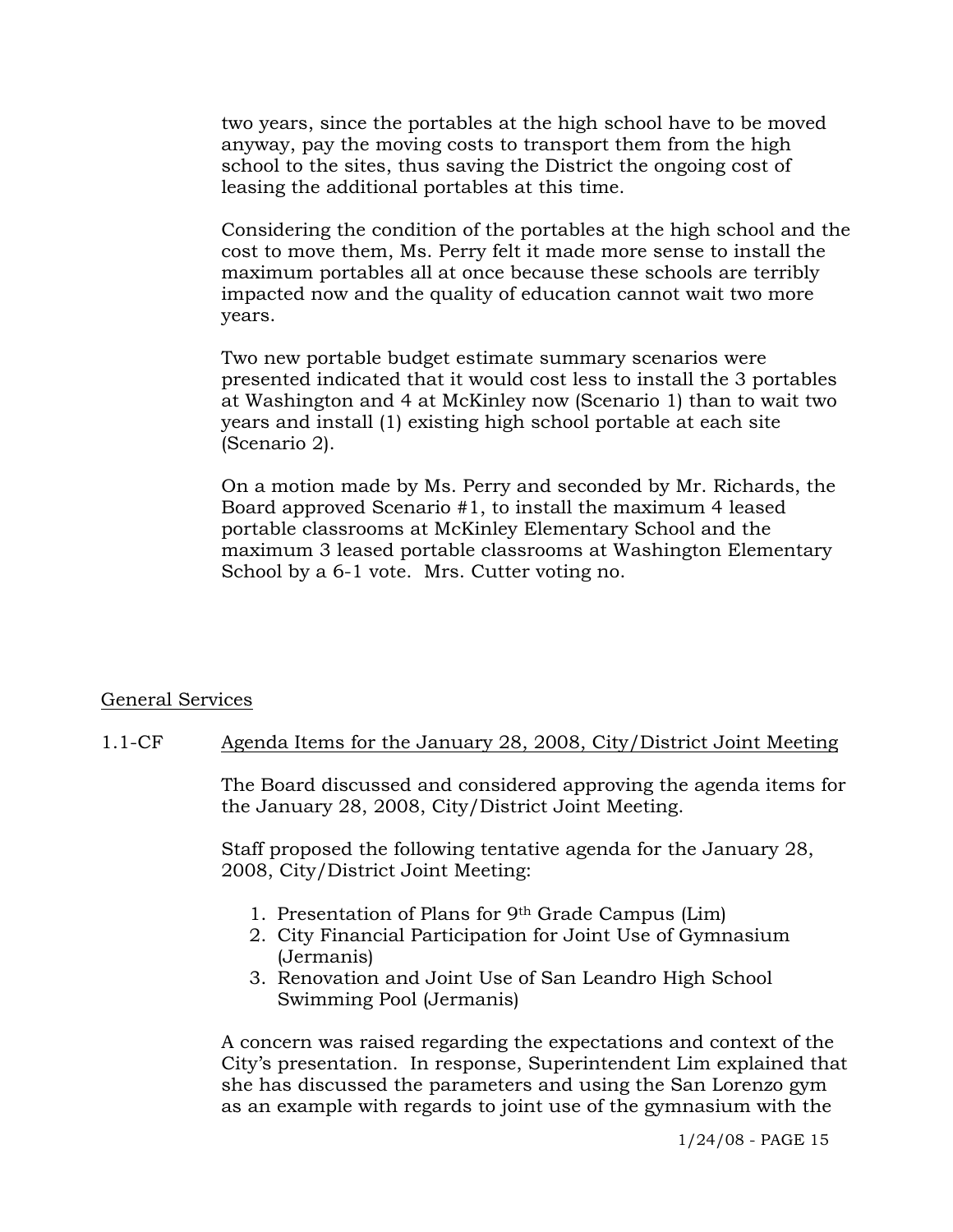two years, since the portables at the high school have to be moved anyway, pay the moving costs to transport them from the high school to the sites, thus saving the District the ongoing cost of leasing the additional portables at this time.

Considering the condition of the portables at the high school and the cost to move them, Ms. Perry felt it made more sense to install the maximum portables all at once because these schools are terribly impacted now and the quality of education cannot wait two more years.

Two new portable budget estimate summary scenarios were presented indicated that it would cost less to install the 3 portables at Washington and 4 at McKinley now (Scenario 1) than to wait two years and install (1) existing high school portable at each site (Scenario 2).

On a motion made by Ms. Perry and seconded by Mr. Richards, the Board approved Scenario #1, to install the maximum 4 leased portable classrooms at McKinley Elementary School and the maximum 3 leased portable classrooms at Washington Elementary School by a 6-1 vote. Mrs. Cutter voting no.

## General Services

#### 1.1-CF Agenda Items for the January 28, 2008, City/District Joint Meeting

The Board discussed and considered approving the agenda items for the January 28, 2008, City/District Joint Meeting.

Staff proposed the following tentative agenda for the January 28, 2008, City/District Joint Meeting:

- 1. Presentation of Plans for 9th Grade Campus (Lim)
- 2. City Financial Participation for Joint Use of Gymnasium (Jermanis)
- 3. Renovation and Joint Use of San Leandro High School Swimming Pool (Jermanis)

A concern was raised regarding the expectations and context of the City's presentation. In response, Superintendent Lim explained that she has discussed the parameters and using the San Lorenzo gym as an example with regards to joint use of the gymnasium with the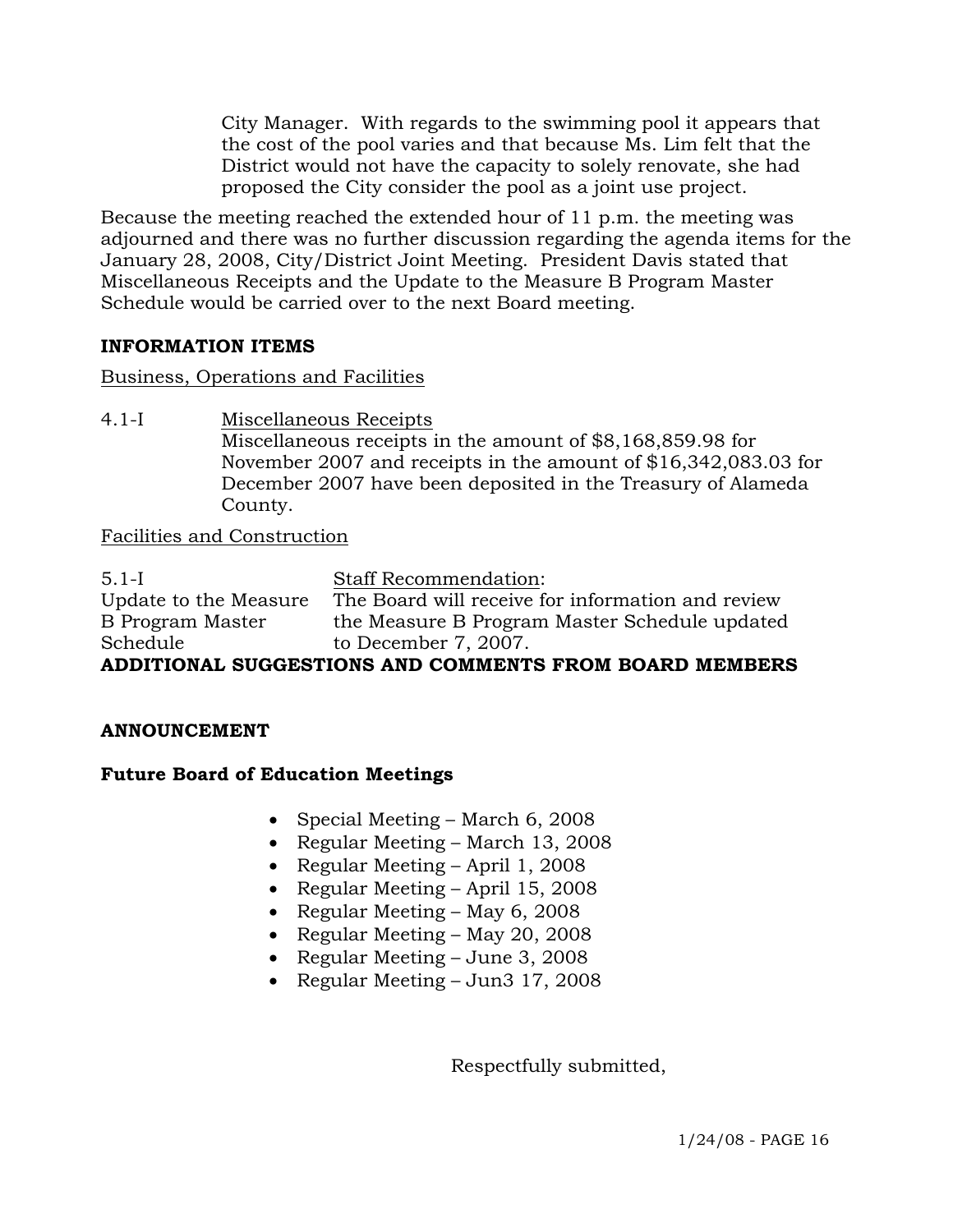City Manager. With regards to the swimming pool it appears that the cost of the pool varies and that because Ms. Lim felt that the District would not have the capacity to solely renovate, she had proposed the City consider the pool as a joint use project.

Because the meeting reached the extended hour of 11 p.m. the meeting was adjourned and there was no further discussion regarding the agenda items for the January 28, 2008, City/District Joint Meeting. President Davis stated that Miscellaneous Receipts and the Update to the Measure B Program Master Schedule would be carried over to the next Board meeting.

# **INFORMATION ITEMS**

Business, Operations and Facilities

4.1-I Miscellaneous Receipts Miscellaneous receipts in the amount of \$8,168,859.98 for November 2007 and receipts in the amount of \$16,342,083.03 for December 2007 have been deposited in the Treasury of Alameda County.

## Facilities and Construction

| $5.1-I$                                                | <b>Staff Recommendation:</b>                      |  |  |  |
|--------------------------------------------------------|---------------------------------------------------|--|--|--|
| Update to the Measure                                  | The Board will receive for information and review |  |  |  |
| B Program Master                                       | the Measure B Program Master Schedule updated     |  |  |  |
| Schedule                                               | to December 7, 2007.                              |  |  |  |
| ADDITIONAL SUCCESTIONS AND COMMENTS FROM BOARD MEMBERS |                                                   |  |  |  |

## **ADDITIONAL SUGGESTIONS AND COMMENTS FROM BOARD MEMBERS**

## **ANNOUNCEMENT**

## **Future Board of Education Meetings**

- Special Meeting March 6, 2008
- Regular Meeting March 13, 2008
- Regular Meeting April 1, 2008
- Regular Meeting April 15, 2008
- Regular Meeting May 6, 2008
- Regular Meeting May 20, 2008
- Regular Meeting June 3, 2008
- Regular Meeting Jun3 17, 2008

Respectfully submitted,